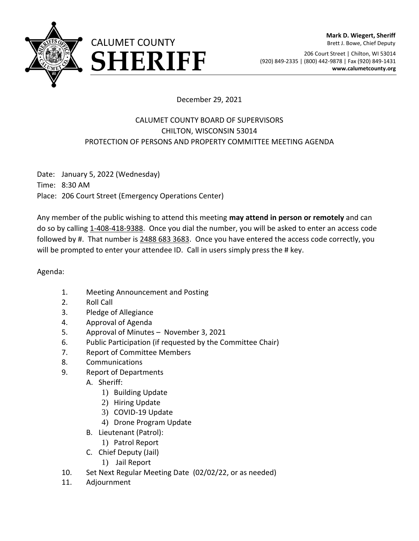

206 Court Street | Chilton, WI 53014 **FRIFF** (920) 849-2335 | (800) 442-9878 | Fax (920) 849-1431 **SHERIFF** (920) 849-2335 | (800) 442-9878 | Fax (920) 849-1431

## December 29, 2021

## CALUMET COUNTY BOARD OF SUPERVISORS CHILTON, WISCONSIN 53014 PROTECTION OF PERSONS AND PROPERTY COMMITTEE MEETING AGENDA

Date: January 5, 2022 (Wednesday) Time: 8:30 AM Place: 206 Court Street (Emergency Operations Center)

Any member of the public wishing to attend this meeting **may attend in person or remotely** and can do so by calling 1-408-418-9388. Once you dial the number, you will be asked to enter an access code followed by #. That number is 2488 683 3683. Once you have entered the access code correctly, you will be prompted to enter your attendee ID. Call in users simply press the # key.

Agenda:

- 1. Meeting Announcement and Posting
- 2. Roll Call
- 3. Pledge of Allegiance
- 4. Approval of Agenda
- 5. Approval of Minutes November 3, 2021
- 6. Public Participation (if requested by the Committee Chair)
- 7. Report of Committee Members
- 8. Communications
- 9. Report of Departments
	- A. Sheriff:
		- 1) Building Update
		- 2) Hiring Update
		- 3) COVID-19 Update
		- 4) Drone Program Update
	- B. Lieutenant (Patrol):
		- 1) Patrol Report
	- C. Chief Deputy (Jail)
		- 1) Jail Report
- 10. Set Next Regular Meeting Date (02/02/22, or as needed)
- 11. Adjournment